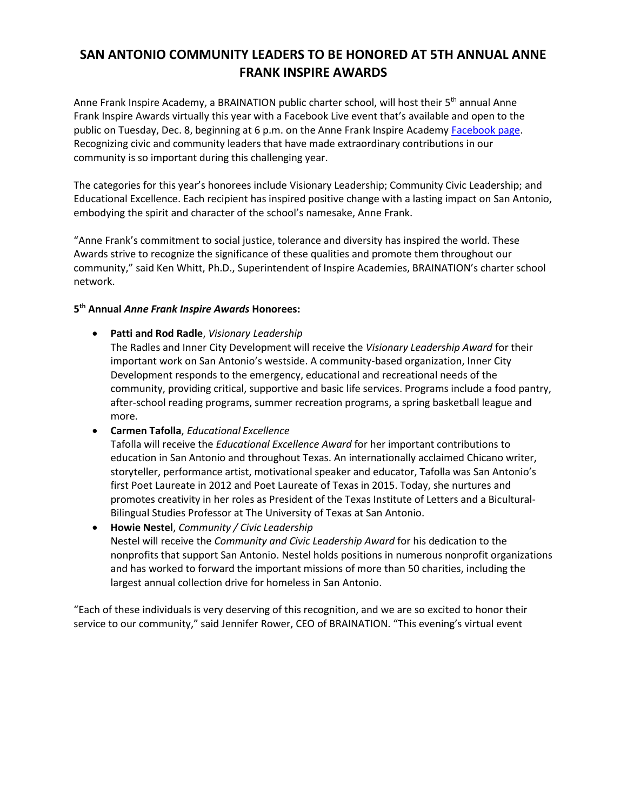## **SAN ANTONIO COMMUNITY LEADERS TO BE HONORED AT 5TH ANNUAL ANNE FRANK INSPIRE AWARDS**

Anne Frank Inspire Academy, a BRAINATION public charter school, will host their  $5<sup>th</sup>$  annual Anne Frank Inspire Awards virtually this year with a Facebook Live event that's available and open to the public on Tuesday, Dec. 8, beginning at 6 p.m. on the Anne Frank Inspire Academy [Facebook page.](https://www.facebook.com/AnneFrankIA/)  Recognizing civic and community leaders that have made extraordinary contributions in our community is so important during this challenging year.

The categories for this year's honorees include Visionary Leadership; Community Civic Leadership; and Educational Excellence. Each recipient has inspired positive change with a lasting impact on San Antonio, embodying the spirit and character of the school's namesake, Anne Frank.

"Anne Frank's commitment to social justice, tolerance and diversity has inspired the world. These Awards strive to recognize the significance of these qualities and promote them throughout our community," said Ken Whitt, Ph.D., Superintendent of Inspire Academies, BRAINATION's charter school network.

## **5 th Annual** *Anne Frank Inspire Awards* **Honorees:**

• **Patti and Rod Radle**, *Visionary Leadership*

The Radles and Inner City Development will receive the *Visionary Leadership Award* for their important work on San Antonio's westside. A community-based organization, Inner City Development responds to the emergency, educational and recreational needs of the community, providing critical, supportive and basic life services. Programs include a food pantry, after-school reading programs, summer recreation programs, a spring basketball league and more.

• **Carmen Tafolla**, *Educational Excellence*

Tafolla will receive the *Educational Excellence Award* for her important contributions to education in San Antonio and throughout Texas. An internationally acclaimed Chicano writer, storyteller, performance artist, motivational speaker and educator, Tafolla was San Antonio's first Poet Laureate in 2012 and Poet Laureate of Texas in 2015. Today, she nurtures and promotes creativity in her roles as President of the Texas Institute of Letters and a Bicultural-Bilingual Studies Professor at The University of Texas at San Antonio.

• **Howie Nestel**, *Community / Civic Leadership* Nestel will receive the *Community and Civic Leadership Award* for his dedication to the nonprofits that support San Antonio. Nestel holds positions in numerous nonprofit organizations and has worked to forward the important missions of more than 50 charities, including the largest annual collection drive for homeless in San Antonio.

"Each of these individuals is very deserving of this recognition, and we are so excited to honor their service to our community," said Jennifer Rower, CEO of BRAINATION. "This evening's virtual event